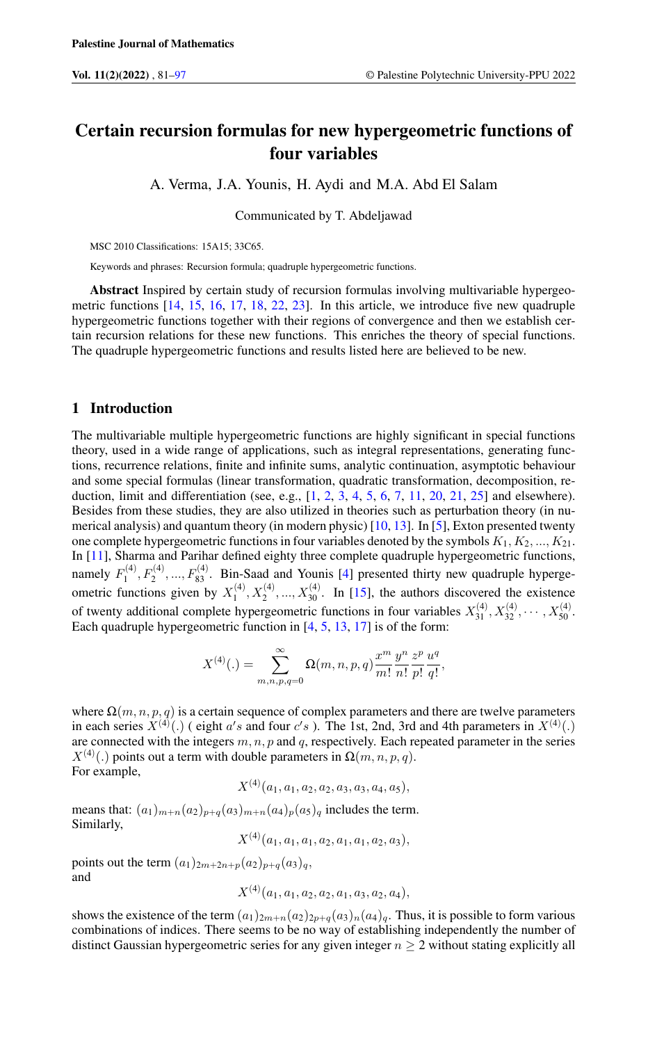# Certain recursion formulas for new hypergeometric functions of four variables

A. Verma, J.A. Younis, H. Aydi and M.A. Abd El Salam

Communicated by T. Abdeljawad

MSC 2010 Classifications: 15A15; 33C65.

Keywords and phrases: Recursion formula; quadruple hypergeometric functions.

Abstract Inspired by certain study of recursion formulas involving multivariable hypergeometric functions [\[14,](#page-15-1) [15,](#page-16-0) [16,](#page-16-1) [17,](#page-16-2) [18,](#page-16-3) [22,](#page-16-4) [23\]](#page-16-5). In this article, we introduce five new quadruple hypergeometric functions together with their regions of convergence and then we establish certain recursion relations for these new functions. This enriches the theory of special functions. The quadruple hypergeometric functions and results listed here are believed to be new.

### 1 Introduction

The multivariable multiple hypergeometric functions are highly significant in special functions theory, used in a wide range of applications, such as integral representations, generating functions, recurrence relations, finite and infinite sums, analytic continuation, asymptotic behaviour and some special formulas (linear transformation, quadratic transformation, decomposition, reduction, limit and differentiation (see, e.g.,  $[1, 2, 3, 4, 5, 6, 7, 11, 20, 21, 25]$  $[1, 2, 3, 4, 5, 6, 7, 11, 20, 21, 25]$  $[1, 2, 3, 4, 5, 6, 7, 11, 20, 21, 25]$  $[1, 2, 3, 4, 5, 6, 7, 11, 20, 21, 25]$  $[1, 2, 3, 4, 5, 6, 7, 11, 20, 21, 25]$  $[1, 2, 3, 4, 5, 6, 7, 11, 20, 21, 25]$  $[1, 2, 3, 4, 5, 6, 7, 11, 20, 21, 25]$  $[1, 2, 3, 4, 5, 6, 7, 11, 20, 21, 25]$  $[1, 2, 3, 4, 5, 6, 7, 11, 20, 21, 25]$  $[1, 2, 3, 4, 5, 6, 7, 11, 20, 21, 25]$  $[1, 2, 3, 4, 5, 6, 7, 11, 20, 21, 25]$  $[1, 2, 3, 4, 5, 6, 7, 11, 20, 21, 25]$  $[1, 2, 3, 4, 5, 6, 7, 11, 20, 21, 25]$  $[1, 2, 3, 4, 5, 6, 7, 11, 20, 21, 25]$  $[1, 2, 3, 4, 5, 6, 7, 11, 20, 21, 25]$  $[1, 2, 3, 4, 5, 6, 7, 11, 20, 21, 25]$  $[1, 2, 3, 4, 5, 6, 7, 11, 20, 21, 25]$  $[1, 2, 3, 4, 5, 6, 7, 11, 20, 21, 25]$  $[1, 2, 3, 4, 5, 6, 7, 11, 20, 21, 25]$  $[1, 2, 3, 4, 5, 6, 7, 11, 20, 21, 25]$  $[1, 2, 3, 4, 5, 6, 7, 11, 20, 21, 25]$  and elsewhere). Besides from these studies, they are also utilized in theories such as perturbation theory (in numerical analysis) and quantum theory (in modern physic) [\[10,](#page-15-10) [13\]](#page-15-11). In [\[5\]](#page-15-6), Exton presented twenty one complete hypergeometric functions in four variables denoted by the symbols  $K_1, K_2, ..., K_{21}$ . In [\[11\]](#page-15-9), Sharma and Parihar defined eighty three complete quadruple hypergeometric functions, namely  $F_1^{(4)}$  $T_1^{(4)}, F_2^{(4)}, ..., F_{83}^{(4)}$ . Bin-Saad and Younis [\[4\]](#page-15-5) presented thirty new quadruple hypergeometric functions given by  $X_1^{(4)}$  $X_1^{(4)}, X_2^{(4)}, ..., X_{30}^{(4)}$ . In [\[15\]](#page-16-0), the authors discovered the existence of twenty additional complete hypergeometric functions in four variables  $X_{31}^{(4)}, X_{32}^{(4)}, \cdots, X_{50}^{(4)}$ . Each quadruple hypergeometric function in [\[4,](#page-15-5) [5,](#page-15-6) [13,](#page-15-11) [17\]](#page-16-2) is of the form:

$$
X^{(4)}(.) = \sum_{m,n,p,q=0}^{\infty} \Omega(m,n,p,q) \frac{x^m}{m!} \frac{y^n}{n!} \frac{z^p}{p!} \frac{u^q}{q!},
$$

where  $\Omega(m, n, p, q)$  is a certain sequence of complex parameters and there are twelve parameters in each series  $X^{(4)}(.)$  (eight a's and four c's). The 1st, 2nd, 3rd and 4th parameters in  $X^{(4)}(.)$ are connected with the integers  $m, n, p$  and  $q$ , respectively. Each repeated parameter in the series  $X^{(4)}(.)$  points out a term with double parameters in  $\Omega(m, n, p, q)$ . For example,

$$
X^{(4)}(a_1,a_1,a_2,a_2,a_3,a_3,a_4,a_5),
$$

means that:  $(a_1)_{m+n}(a_2)_{p+q}(a_3)_{m+n}(a_4)_p(a_5)_q$  includes the term. Similarly,

$$
X^{(4)}(a_1,a_1,a_1,a_2,a_1,a_1,a_2,a_3),
$$

points out the term  $(a_1)_{2m+2n+p}(a_2)_{p+q}(a_3)_q$ , and

$$
X^{(4)}(a_1,a_1,a_2,a_2,a_1,a_3,a_2,a_4),
$$

shows the existence of the term  $(a_1)_{2m+n}(a_2)_{2p+q}(a_3)_n(a_4)_q$ . Thus, it is possible to form various combinations of indices. There seems to be no way of establishing independently the number of distinct Gaussian hypergeometric series for any given integer  $n \geq 2$  without stating explicitly all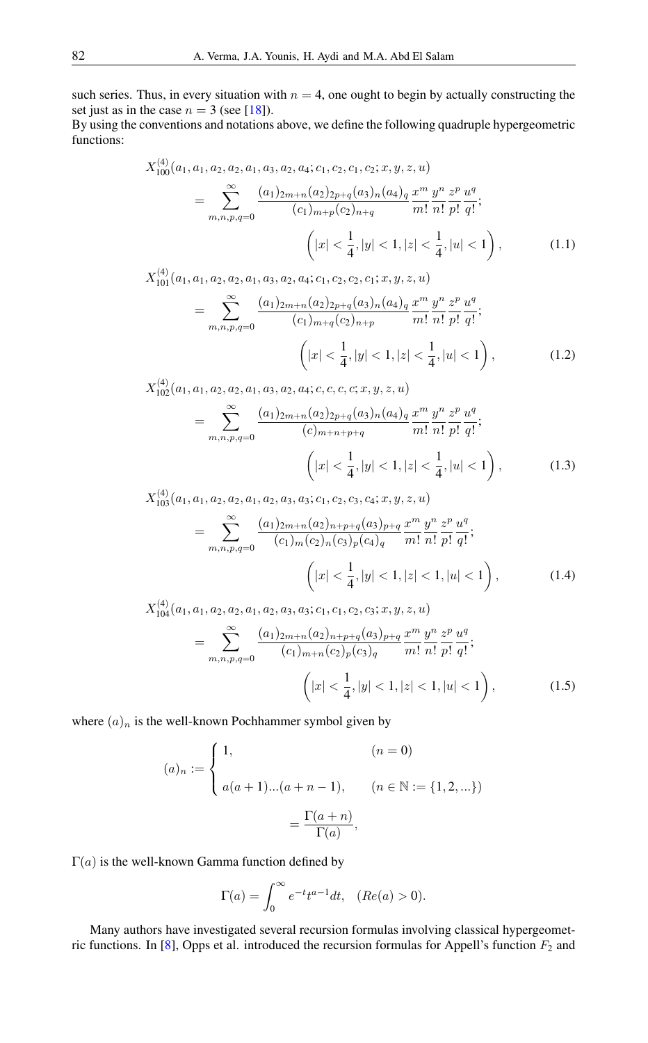such series. Thus, in every situation with  $n = 4$ , one ought to begin by actually constructing the set just as in the case  $n = 3$  (see [\[18\]](#page-16-3)).

By using the conventions and notations above, we define the following quadruple hypergeometric functions:

$$
X_{100}^{(4)}(a_1, a_1, a_2, a_2, a_1, a_3, a_2, a_4; c_1, c_2, c_1, c_2; x, y, z, u)
$$
  
= 
$$
\sum_{m,n,p,q=0}^{\infty} \frac{(a_1)_{2m+n}(a_2)_{2p+q}(a_3)_n(a_4)_q x^m y^n}{(c_1)_{m+p}(c_2)_{n+q}} \frac{x^m}{m!} \frac{y^n}{n!} \frac{z^p}{p!} \frac{u^q}{q!};
$$
  

$$
\left(|x| < \frac{1}{4}, |y| < 1, |z| < \frac{1}{4}, |u| < 1\right),
$$
  

$$
X_{101}^{(4)}(a_1, a_1, a_2, a_2, a_1, a_3, a_2, a_4; c_1, c_2, c_2, c_1; x, y, z, u)
$$
 (1.1)

$$
X_{101}^{(4)}(a_1, a_1, a_2, a_2, a_1, a_3, a_2, a_4; c_1, c_2, c_2, c_1; x, y, z, u)
$$
  
= 
$$
\sum_{m,n,p,q=0}^{\infty} \frac{(a_1)_{2m+n}(a_2)_{2p+q}(a_3)_n(a_4)_q x^m y^n}{(c_1)_{m+q}(c_2)_{n+p}} \frac{x^m y^n}{m!} \frac{z^p}{n!} \frac{u^q}{p!} ;
$$
  

$$
\left(|x| < \frac{1}{4}, |y| < 1, |z| < \frac{1}{4}, |u| < 1\right), \tag{1.2}
$$

$$
X_{102}^{(4)}(a_1, a_1, a_2, a_2, a_1, a_3, a_2, a_4; c, c, c, c; x, y, z, u)
$$
  
= 
$$
\sum_{m,n,p,q=0}^{\infty} \frac{(a_1)_{2m+n}(a_2)_{2p+q}(a_3)_n(a_4)_q x^m y^n z^p u^q}{(c)_{m+n+p+q}} \frac{y^n}{m!} \frac{z^p u^q}{n!} \frac{y^q}{p!} \frac{z^p u^q}{q!};
$$
  

$$
\left(|x| < \frac{1}{4}, |y| < 1, |z| < \frac{1}{4}, |u| < 1\right), \tag{1.3}
$$

$$
X_{103}^{(4)}(a_1, a_1, a_2, a_2, a_1, a_2, a_3, a_3; c_1, c_2, c_3, c_4; x, y, z, u)
$$
  
= 
$$
\sum_{m,n,p,q=0}^{\infty} \frac{(a_1)_{2m+n}(a_2)_{n+p+q}(a_3)_{p+q}}{(c_1)_m (c_2)_n (c_3)_p (c_4)_q} \frac{x^m}{m!} \frac{y^n}{n!} \frac{z^p}{p!} \frac{u^q}{q!};
$$
  

$$
\left(|x| < \frac{1}{4}, |y| < 1, |z| < 1, |u| < 1\right),
$$
 (1.4)

$$
X_{104}^{(4)}(a_1, a_1, a_2, a_2, a_1, a_2, a_3, a_3; c_1, c_1, c_2, c_3; x, y, z, u)
$$
  
= 
$$
\sum_{m,n,p,q=0}^{\infty} \frac{(a_1)_{2m+n}(a_2)_{n+p+q}(a_3)_{p+q}}{(c_1)_{m+n}(c_2)_p(c_3)_q} \frac{x^m}{m!} \frac{y^n}{n!} \frac{z^p}{p!} \frac{u^q}{q!};
$$
  

$$
\left(|x| < \frac{1}{4}, |y| < 1, |z| < 1, |u| < 1\right), \tag{1.5}
$$

where  $(a)_n$  is the well-known Pochhammer symbol given by

$$
(a)_n := \begin{cases} 1, & (n = 0) \\ a(a+1)...(a+n-1), & (n \in \mathbb{N} := \{1, 2, ...\}) \\ = \frac{\Gamma(a+n)}{\Gamma(a)}, \end{cases}
$$

 $\Gamma(a)$  is the well-known Gamma function defined by

$$
\Gamma(a) = \int_0^\infty e^{-t} t^{a-1} dt, \quad (Re(a) > 0).
$$

Many authors have investigated several recursion formulas involving classical hypergeomet-ric functions. In [\[8\]](#page-15-12), Opps et al. introduced the recursion formulas for Appell's function  $F_2$  and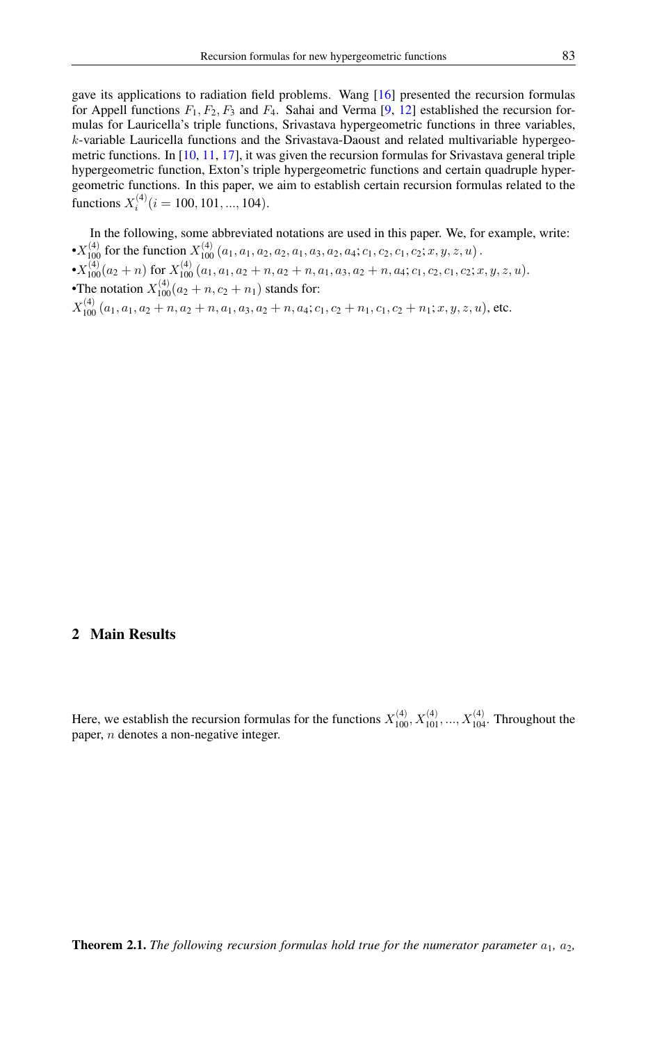gave its applications to radiation field problems. Wang [\[16\]](#page-16-1) presented the recursion formulas for Appell functions  $F_1, F_2, F_3$  and  $F_4$ . Sahai and Verma [\[9,](#page-15-13) [12\]](#page-15-14) established the recursion formulas for Lauricella's triple functions, Srivastava hypergeometric functions in three variables,  $k$ -variable Lauricella functions and the Srivastava-Daoust and related multivariable hypergeometric functions. In [\[10,](#page-15-10) [11,](#page-15-9) [17\]](#page-16-2), it was given the recursion formulas for Srivastava general triple hypergeometric function, Exton's triple hypergeometric functions and certain quadruple hypergeometric functions. In this paper, we aim to establish certain recursion formulas related to the functions  $X_i^{(4)}$   $(i = 100, 101, ..., 104)$ .

In the following, some abbreviated notations are used in this paper. We, for example, write:  $\cdot X_{100}^{(4)}$  for the function  $X_{100}^{(4)}$   $(a_1, a_1, a_2, a_2, a_1, a_3, a_2, a_4; c_1, c_2, c_1, c_2; x, y, z, u)$ .  $\bullet X_{100}^{(4)}(a_2+n) \text{ for } X_{100}^{(4)}(a_1,a_1,a_2+n,a_2+n,a_1,a_3,a_2+n,a_4;c_1,c_2,c_1,c_2;x,y,z,u).$ •The notation  $X_{100}^{(4)}(a_2 + n, c_2 + n_1)$  stands for:  $X_{100}^{(4)}$   $(a_1, a_1, a_2 + n, a_2 + n, a_1, a_3, a_2 + n, a_4; c_1, c_2 + n_1, c_1, c_2 + n_1; x, y, z, u)$ , etc.

### 2 Main Results

Here, we establish the recursion formulas for the functions  $X_{100}^{(4)}$ ,  $X_{101}^{(4)}$ , ...,  $X_{104}^{(4)}$ . Throughout the paper, n denotes a non-negative integer.

**Theorem 2.1.** *The following recursion formulas hold true for the numerator parameter*  $a_1$ ,  $a_2$ ,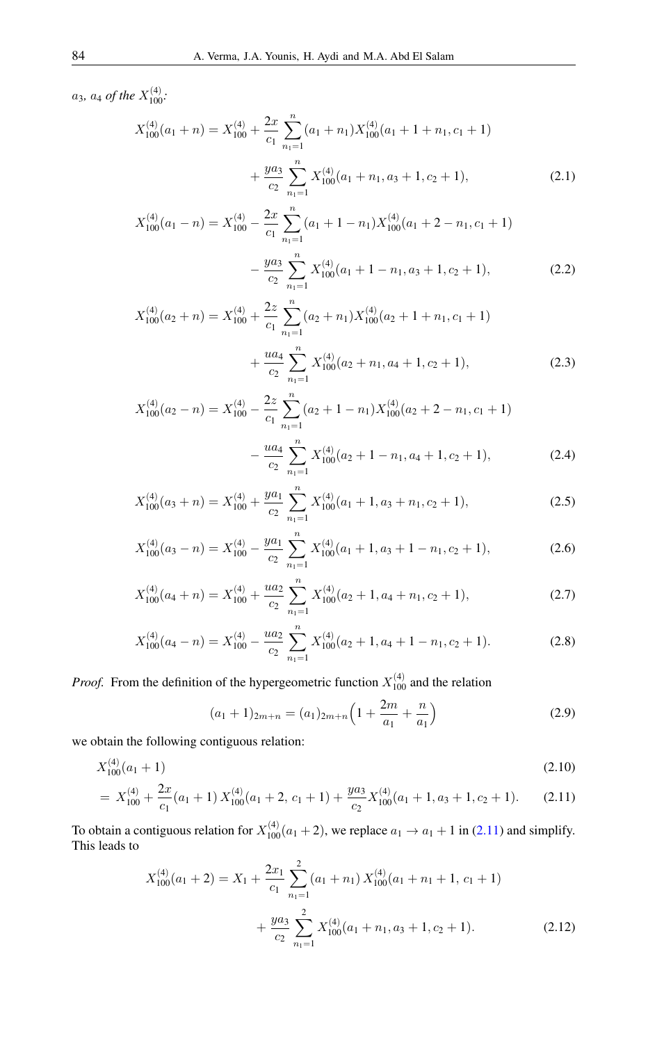$a_3$ ,  $a_4$  of the  $X_{100}^{(4)}$ .

$$
X_{100}^{(4)}(a_1+n) = X_{100}^{(4)} + \frac{2x}{c_1} \sum_{n_1=1}^n (a_1+n_1) X_{100}^{(4)}(a_1+1+n_1, c_1+1)
$$
  
+ 
$$
\frac{ya_3}{c_2} \sum_{n_1=1}^n X_{100}^{(4)}(a_1+n_1, a_3+1, c_2+1),
$$
 (2.1)

<span id="page-3-1"></span>
$$
X_{100}^{(4)}(a_1 - n) = X_{100}^{(4)} - \frac{2x}{c_1} \sum_{n_1=1}^{n} (a_1 + 1 - n_1) X_{100}^{(4)}(a_1 + 2 - n_1, c_1 + 1)
$$

$$
- \frac{ya_3}{c_2} \sum_{n_1=1}^{n} X_{100}^{(4)}(a_1 + 1 - n_1, a_3 + 1, c_2 + 1), \tag{2.2}
$$

<span id="page-3-3"></span><span id="page-3-2"></span>
$$
X_{100}^{(4)}(a_2+n) = X_{100}^{(4)} + \frac{2z}{c_1} \sum_{n_1=1}^n (a_2+n_1) X_{100}^{(4)}(a_2+1+n_1, c_1+1)
$$
  
 
$$
+ \frac{ua_4}{c_2} \sum_{n_1=1}^n X_{100}^{(4)}(a_2+n_1, a_4+1, c_2+1), \tag{2.3}
$$

$$
X_{100}^{(4)}(a_2 - n) = X_{100}^{(4)} - \frac{2z}{c_1} \sum_{n_1=1}^{n} (a_2 + 1 - n_1) X_{100}^{(4)}(a_2 + 2 - n_1, c_1 + 1)
$$

$$
- \frac{ua_4}{c_2} \sum_{n_1=1}^{n} X_{100}^{(4)}(a_2 + 1 - n_1, a_4 + 1, c_2 + 1), \tag{2.4}
$$

$$
X_{100}^{(4)}(a_3+n) = X_{100}^{(4)} + \frac{ya_1}{c_2} \sum_{n_1=1}^{n} X_{100}^{(4)}(a_1+1, a_3+n_1, c_2+1),
$$
\n(2.5)

$$
X_{100}^{(4)}(a_3 - n) = X_{100}^{(4)} - \frac{ya_1}{c_2} \sum_{n_1=1}^{n} X_{100}^{(4)}(a_1 + 1, a_3 + 1 - n_1, c_2 + 1), \tag{2.6}
$$

$$
X_{100}^{(4)}(a_4+n) = X_{100}^{(4)} + \frac{ua_2}{c_2} \sum_{n_1=1}^{n} X_{100}^{(4)}(a_2+1, a_4+n_1, c_2+1),
$$
\n(2.7)

$$
X_{100}^{(4)}(a_4 - n) = X_{100}^{(4)} - \frac{ua_2}{c_2} \sum_{n_1=1}^{n} X_{100}^{(4)}(a_2 + 1, a_4 + 1 - n_1, c_2 + 1). \tag{2.8}
$$

*Proof.* From the definition of the hypergeometric function  $X_{100}^{(4)}$  and the relation

<span id="page-3-4"></span><span id="page-3-0"></span>
$$
(a_1 + 1)_{2m+n} = (a_1)_{2m+n} \left( 1 + \frac{2m}{a_1} + \frac{n}{a_1} \right)
$$
 (2.9)

we obtain the following contiguous relation:

$$
X_{100}^{(4)}(a_1 + 1) \tag{2.10}
$$
\n
$$
(a_1 - 2x) \tag{2.11}
$$

$$
= X_{100}^{(4)} + \frac{2x}{c_1}(a_1 + 1) X_{100}^{(4)}(a_1 + 2, c_1 + 1) + \frac{y a_3}{c_2} X_{100}^{(4)}(a_1 + 1, a_3 + 1, c_2 + 1). \tag{2.11}
$$

To obtain a contiguous relation for  $X_{100}^{(4)}(a_1 + 2)$ , we replace  $a_1 \rightarrow a_1 + 1$  in (2.11) and simplify.<br>This leads to

$$
X_{100}^{(4)}(a_1 + 2) = X_1 + \frac{2x_1}{c_1} \sum_{n_1=1}^{2} (a_1 + n_1) X_{100}^{(4)}(a_1 + n_1 + 1, c_1 + 1)
$$
  
+ 
$$
\frac{ya_3}{c_2} \sum_{n_1=1}^{2} X_{100}^{(4)}(a_1 + n_1, a_3 + 1, c_2 + 1).
$$
 (2.12)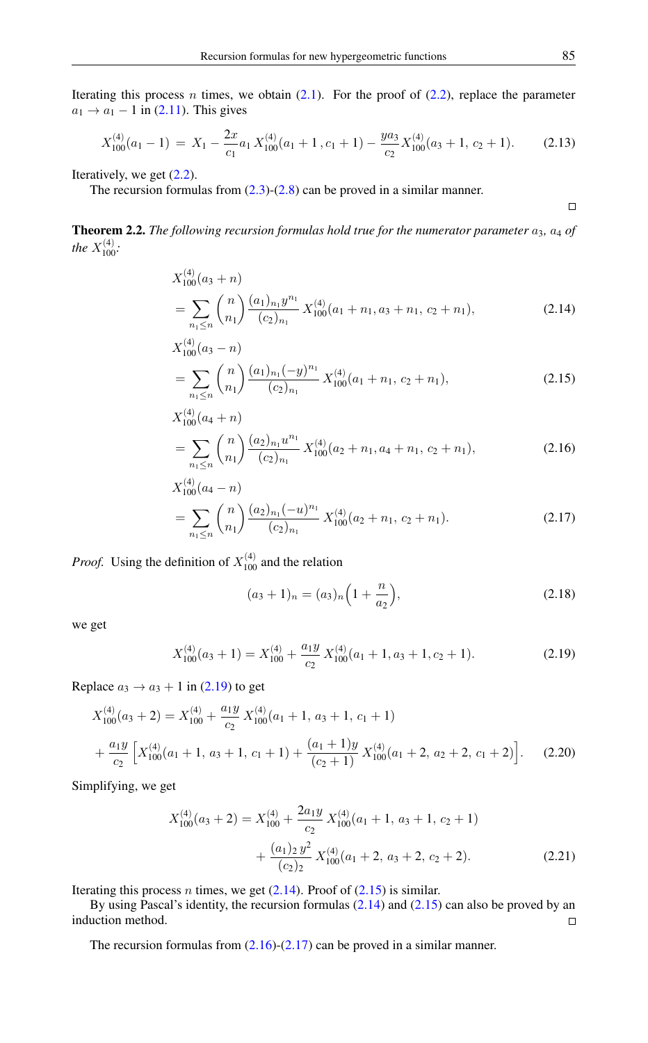Iterating this process *n* times, we obtain  $(2.1)$ . For the proof of  $(2.2)$ , replace the parameter  $a_1 \rightarrow a_1 - 1$  in [\(2.11\)](#page-3-0). This gives

$$
X_{100}^{(4)}(a_1 - 1) = X_1 - \frac{2x}{c_1} a_1 X_{100}^{(4)}(a_1 + 1, c_1 + 1) - \frac{y a_3}{c_2} X_{100}^{(4)}(a_3 + 1, c_2 + 1). \tag{2.13}
$$

Iteratively, we get  $(2.2)$ .

The recursion formulas from  $(2.3)-(2.8)$  $(2.3)-(2.8)$  $(2.3)-(2.8)$  can be proved in a similar manner.

**Theorem 2.2.** *The following recursion formulas hold true for the numerator parameter*  $a_3$ ,  $a_4$  *of the*  $X_{100}^{(4)}$ *:* 

$$
X_{100}^{(4)}(a_3+n)
$$
  
= 
$$
\sum_{n_1 \le n} {n \choose n_1} \frac{(a_1)_{n_1} y^{n_1}}{(c_2)_{n_1}} X_{100}^{(4)}(a_1+n_1, a_3+n_1, c_2+n_1),
$$
 (2.14)

$$
X_{100}^{(4)}(a_3 - n)
$$
  
= 
$$
\sum_{n_1 \le n} {n \choose n_1} \frac{(a_1)_{n_1} (-y)^{n_1}}{(c_2)_{n_1}} X_{100}^{(4)}(a_1 + n_1, c_2 + n_1),
$$
 (2.15)

$$
X_{100}^{(4)}(a_4+n)
$$
  
= 
$$
\sum_{n_1 \le n} {n \choose n_1} \frac{(a_2)_{n_1} u^{n_1}}{(c_2)_{n_1}} X_{100}^{(4)}(a_2+n_1, a_4+n_1, c_2+n_1),
$$
 (2.16)

$$
X_{100}^{(4)}(a_4 - n)
$$
  
= 
$$
\sum_{n_1 \le n} {n \choose n_1} \frac{(a_2)_{n_1}(-u)^{n_1}}{(c_2)_{n_1}} X_{100}^{(4)}(a_2 + n_1, c_2 + n_1).
$$
 (2.17)

*Proof.* Using the definition of  $X_{100}^{(4)}$  and the relation

<span id="page-4-0"></span>
$$
(a_3 + 1)_n = (a_3)_n \left(1 + \frac{n}{a_2}\right),\tag{2.18}
$$

we get

$$
X_{100}^{(4)}(a_3+1) = X_{100}^{(4)} + \frac{a_1 y}{c_2} X_{100}^{(4)}(a_1+1, a_3+1, c_2+1). \tag{2.19}
$$

Replace  $a_3 \rightarrow a_3 + 1$  in [\(2.19\)](#page-4-0) to get

$$
X_{100}^{(4)}(a_3+2) = X_{100}^{(4)} + \frac{a_1 y}{c_2} X_{100}^{(4)}(a_1+1, a_3+1, c_1+1)
$$
  
+ 
$$
\frac{a_1 y}{c_2} \left[ X_{100}^{(4)}(a_1+1, a_3+1, c_1+1) + \frac{(a_1+1)y}{(c_2+1)} X_{100}^{(4)}(a_1+2, a_2+2, c_1+2) \right].
$$
 (2.20)

Simplifying, we get

$$
X_{100}^{(4)}(a_3 + 2) = X_{100}^{(4)} + \frac{2a_1y}{c_2} X_{100}^{(4)}(a_1 + 1, a_3 + 1, c_2 + 1) + \frac{(a_1)_2 y^2}{(c_2)_2} X_{100}^{(4)}(a_1 + 2, a_3 + 2, c_2 + 2).
$$
 (2.21)

Iterating this process *n* times, we get  $(2.14)$ . Proof of  $(2.15)$  is similar.

By using Pascal's identity, the recursion formulas [\(2.14\)](#page-4-1) and [\(2.15\)](#page-4-2) can also be proved by an induction method.  $\Box$ 

The recursion formulas from  $(2.16)-(2.17)$  $(2.16)-(2.17)$  $(2.16)-(2.17)$  can be proved in a similar manner.

<span id="page-4-4"></span><span id="page-4-3"></span><span id="page-4-2"></span><span id="page-4-1"></span> $\Box$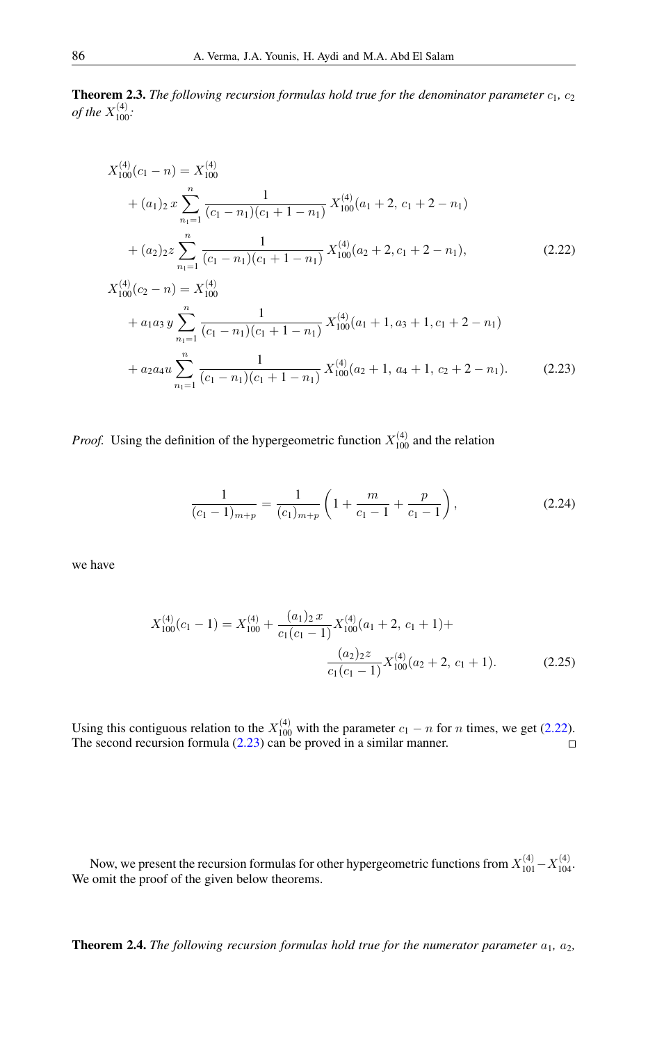**Theorem 2.3.** *The following recursion formulas hold true for the denominator parameter*  $c_1$ ,  $c_2$ *of the*  $X_{100}^{(4)}$ :

$$
X_{100}^{(4)}(c_1 - n) = X_{100}^{(4)}
$$
  
+  $(a_1)_2 x \sum_{n_1=1}^n \frac{1}{(c_1 - n_1)(c_1 + 1 - n_1)} X_{100}^{(4)}(a_1 + 2, c_1 + 2 - n_1)$   
+  $(a_2)_2 z \sum_{n_1=1}^n \frac{1}{(c_1 - n_1)(c_1 + 1 - n_1)} X_{100}^{(4)}(a_2 + 2, c_1 + 2 - n_1),$  (2.22)  

$$
X_{100}^{(4)}(c_2 - n) = X_{100}^{(4)}
$$
  
+  $a_1 a_3 y \sum_{n_1=1}^n \frac{1}{(c_1 - n_1)(c_1 + 1 - n_1)} X_{100}^{(4)}(a_1 + 1, a_3 + 1, c_1 + 2 - n_1)$ 

<span id="page-5-0"></span>
$$
+ a_1 a_3 y \sum_{n_1=1}^{\infty} \frac{1}{(c_1 - n_1)(c_1 + 1 - n_1)} X_{100}^{(4)}(a_1 + 1, a_3 + 1, c_1 + 2 - n_1)
$$
  
+ 
$$
a_2 a_4 u \sum_{n_1=1}^n \frac{1}{(c_1 - n_1)(c_1 + 1 - n_1)} X_{100}^{(4)}(a_2 + 1, a_4 + 1, c_2 + 2 - n_1).
$$
 (2.23)

*Proof.* Using the definition of the hypergeometric function  $X_{100}^{(4)}$  and the relation

<span id="page-5-1"></span>
$$
\frac{1}{(c_1-1)_{m+p}} = \frac{1}{(c_1)_{m+p}} \left( 1 + \frac{m}{c_1-1} + \frac{p}{c_1-1} \right),
$$
\n(2.24)

we have

$$
X_{100}^{(4)}(c_1 - 1) = X_{100}^{(4)} + \frac{(a_1)_2 x}{c_1(c_1 - 1)} X_{100}^{(4)}(a_1 + 2, c_1 + 1) + \frac{(a_2)_2 z}{c_1(c_1 - 1)} X_{100}^{(4)}(a_2 + 2, c_1 + 1).
$$
 (2.25)

Using this contiguous relation to the  $X_{100}^{(4)}$  with the parameter  $c_1 - n$  for n times, we get [\(2.22\)](#page-5-0). The second recursion formula [\(2.23\)](#page-5-1) can be proved in a similar manner.

Now, we present the recursion formulas for other hypergeometric functions from  $X_{101}^{(4)} - X_{104}^{(4)}$ . We omit the proof of the given below theorems.

**Theorem 2.4.** *The following recursion formulas hold true for the numerator parameter*  $a_1$ ,  $a_2$ ,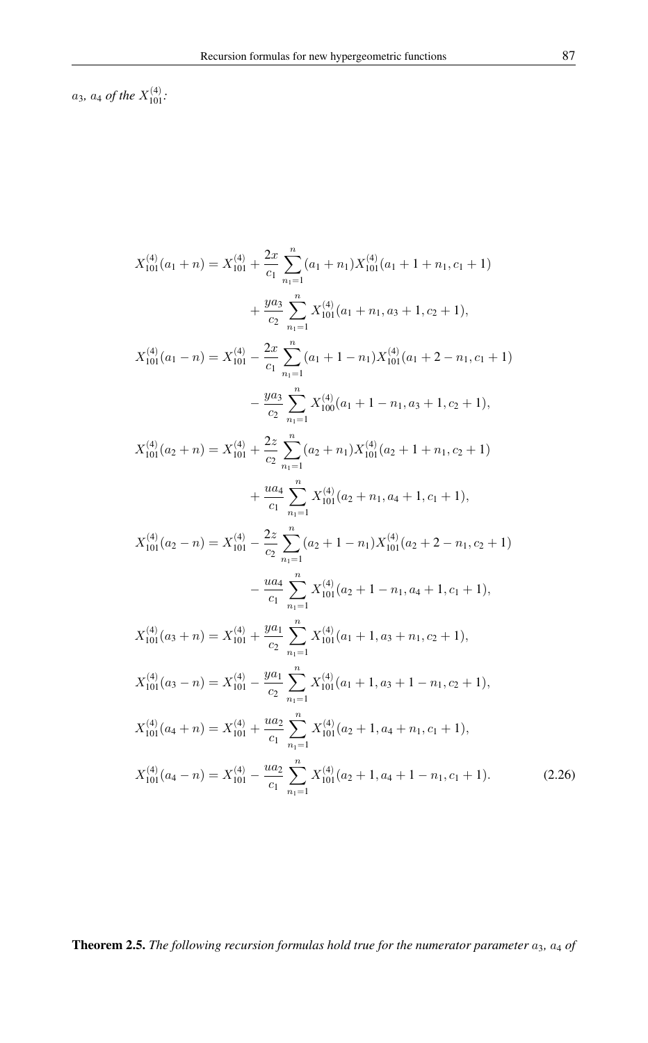$a_3$ ,  $a_4$  of the  $X_{101}^{(4)}$ .

$$
X_{101}^{(4)}(a_1 + n) = X_{101}^{(4)} + \frac{2x}{c_1} \sum_{n_1=1}^{n} (a_1 + n_1) X_{101}^{(4)}(a_1 + 1 + n_1, c_1 + 1)
$$
  
+ 
$$
\frac{ya_3}{c_2} \sum_{n_1=1}^{n} X_{101}^{(4)}(a_1 + n_1, a_3 + 1, c_2 + 1),
$$
  

$$
X_{101}^{(4)}(a_1 - n) = X_{101}^{(4)} - \frac{2x}{c_1} \sum_{n_1=1}^{n} (a_1 + 1 - n_1) X_{101}^{(4)}(a_1 + 2 - n_1, c_1 + 1)
$$
  
- 
$$
\frac{ya_3}{c_2} \sum_{n_1=1}^{n} X_{100}^{(4)}(a_1 + 1 - n_1, a_3 + 1, c_2 + 1),
$$
  

$$
X_{101}^{(4)}(a_2 + n) = X_{101}^{(4)} + \frac{2z}{c_2} \sum_{n_1=1}^{n} (a_2 + n_1) X_{101}^{(4)}(a_2 + 1 + n_1, c_2 + 1)
$$
  
+ 
$$
\frac{ua_4}{c_1} \sum_{n_1=1}^{n} X_{101}^{(4)}(a_2 + n_1, a_4 + 1, c_1 + 1),
$$
  

$$
X_{101}^{(4)}(a_2 - n) = X_{101}^{(4)} - \frac{2z}{c_2} \sum_{n_1=1}^{n} (a_2 + 1 - n_1) X_{101}^{(4)}(a_2 + 2 - n_1, c_2 + 1)
$$
  
- 
$$
\frac{ua_4}{c_1} \sum_{n_1=1}^{n} X_{101}^{(4)}(a_2 + 1 - n_1, a_4 + 1, c_1 + 1),
$$
  

$$
X_{101}^{(4)}(a_3 + n) = X_{101}^{(4)} + \frac{ya_1}{c_2} \sum_{n_1=1}^{n} X_{101}^{(4)}(a_1 + 1, a_3 + n_1, c_2 + 1),
$$
  

# **Theorem 2.5.** The following recursion formulas hold true for the numerator parameter  $a_3$ ,  $a_4$  of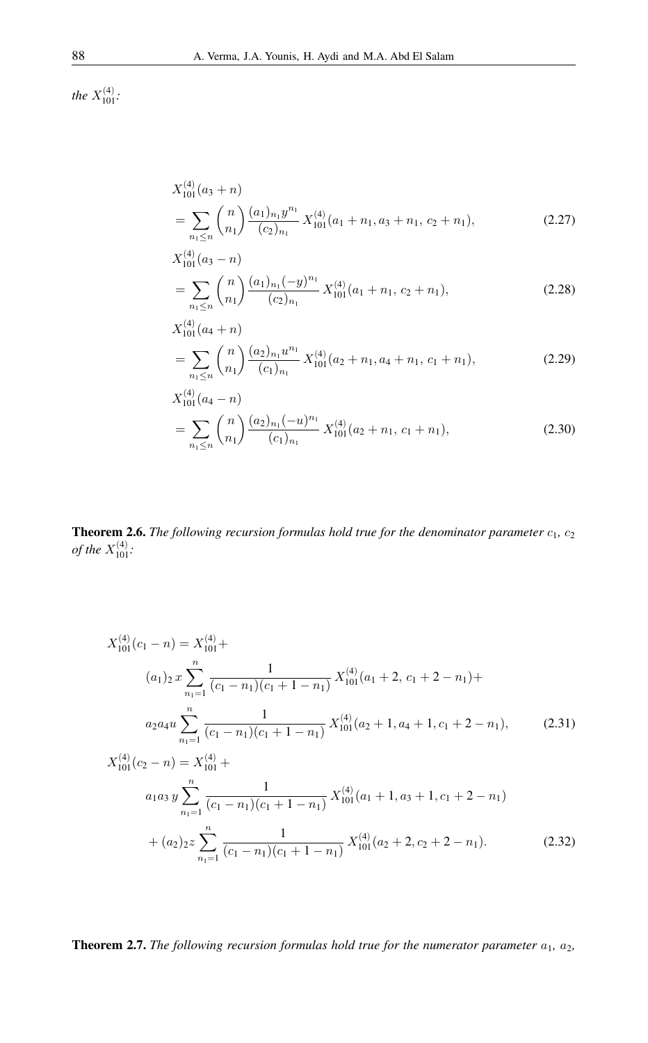*the*  $X_{101}^{(4)}$ :

$$
X_{101}^{(4)}(a_3 + n)
$$
  
= 
$$
\sum_{n_1 \le n} {n \choose n_1} \frac{(a_1)_{n_1} y^{n_1}}{(c_2)_{n_1}} X_{101}^{(4)}(a_1 + n_1, a_3 + n_1, c_2 + n_1),
$$
 (2.27)

$$
X_{101}^{(4)}(a_3 - n)
$$
  
= 
$$
\sum_{n_1 \le n} {n \choose n_1} \frac{(a_1)_{n_1}(-y)^{n_1}}{(c_2)_{n_1}} X_{101}^{(4)}(a_1 + n_1, c_2 + n_1),
$$
 (2.28)

$$
X_{101}^{(4)}(a_4+n)
$$
  
= 
$$
\sum_{n_1 \le n} {n \choose n_1} \frac{(a_2)_{n_1} u^{n_1}}{(c_1)_{n_1}} X_{101}^{(4)}(a_2+n_1, a_4+n_1, c_1+n_1),
$$
 (2.29)

$$
X_{101}^{(4)}(a_4 - n)
$$
  
= 
$$
\sum_{n_1 \le n} {n \choose n_1} \frac{(a_2)_{n_1}(-u)^{n_1}}{(c_1)_{n_1}} X_{101}^{(4)}(a_2 + n_1, c_1 + n_1),
$$
 (2.30)

**Theorem 2.6.** *The following recursion formulas hold true for the denominator parameter*  $c_1$ ,  $c_2$ *of the*  $X_{101}^{(4)}$ :

$$
X_{101}^{(4)}(c_1 - n) = X_{101}^{(4)} +
$$
  
\n
$$
(a_1)_2 x \sum_{n_1=1}^n \frac{1}{(c_1 - n_1)(c_1 + 1 - n_1)} X_{101}^{(4)}(a_1 + 2, c_1 + 2 - n_1) +
$$
  
\n
$$
a_2 a_4 u \sum_{n_1=1}^n \frac{1}{(c_1 - n_1)(c_1 + 1 - n_1)} X_{101}^{(4)}(a_2 + 1, a_4 + 1, c_1 + 2 - n_1),
$$
  
\n
$$
X_{101}^{(4)}(c_2 - n) = X_{101}^{(4)} +
$$
  
\n
$$
a_1 a_3 y \sum_{n_1=1}^n \frac{1}{(c_1 - n_1)(c_1 + 1 - n_1)} X_{101}^{(4)}(a_1 + 1, a_3 + 1, c_1 + 2 - n_1)
$$
  
\n(2.31)

$$
n_{1}=1
$$
  
+ $(a_{2})_{2}z \sum_{n_{1}=1}^{n} \frac{1}{(c_{1}-n_{1})(c_{1}+1-n_{1})} X_{101}^{(4)}(a_{2}+2, c_{2}+2-n_{1}).$  (2.32)

# Theorem 2.7. *The following recursion formulas hold true for the numerator parameter*  $a_1$ ,  $a_2$ ,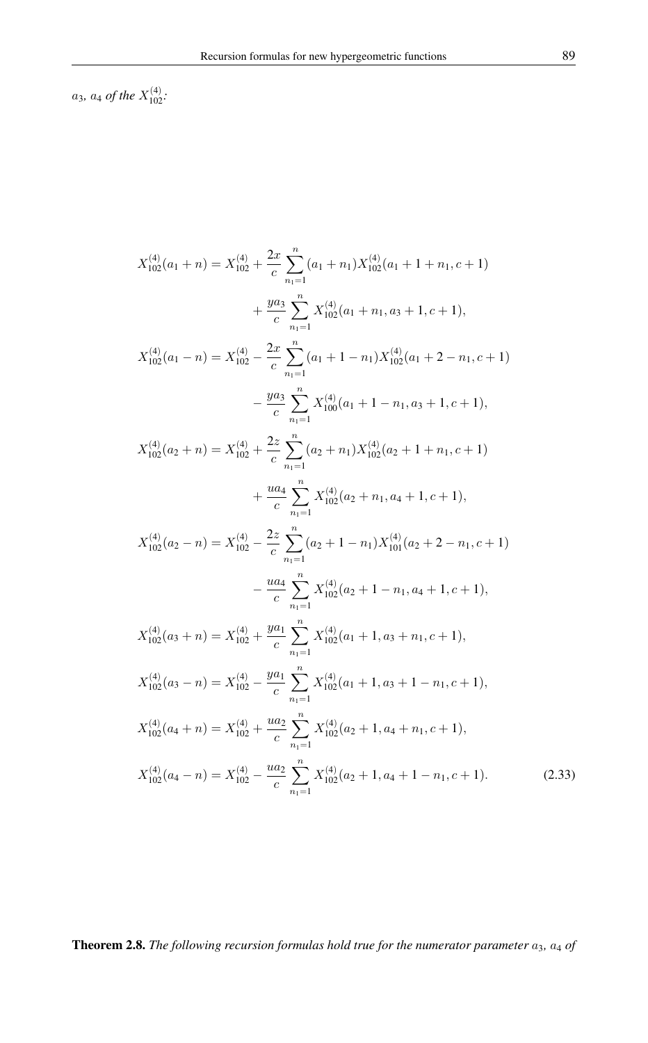$a_3$ *,*  $a_4$  *of the*  $X_{102}^{(4)}$ *:* 

$$
X_{102}^{(4)}(a_1 + n) = X_{102}^{(4)} + \frac{2x}{c} \sum_{n_1=1}^{n_2} (a_1 + n_1) X_{102}^{(4)}(a_1 + 1 + n_1, c + 1)
$$
  
+  $\frac{ya_3}{c} \sum_{n_1=1}^{n_2} X_{102}^{(4)}(a_1 + n_1, a_3 + 1, c + 1),$   

$$
X_{102}^{(4)}(a_1 - n) = X_{102}^{(4)} - \frac{2x}{c} \sum_{n_1=1}^{n_2} (a_1 + 1 - n_1) X_{102}^{(4)}(a_1 + 2 - n_1, c + 1)
$$
  
-  $\frac{ya_3}{c} \sum_{n_1=1}^{n_2} X_{100}^{(4)}(a_1 + 1 - n_1, a_3 + 1, c + 1),$   

$$
X_{102}^{(4)}(a_2 + n) = X_{102}^{(4)} + \frac{2z}{c} \sum_{n_1=1}^{n_2} (a_2 + n_1) X_{102}^{(4)}(a_2 + 1 + n_1, c + 1)
$$
  
+  $\frac{ua_4}{c} \sum_{n_1=1}^{n_2} X_{102}^{(4)}(a_2 + n_1, a_4 + 1, c + 1),$   

$$
X_{102}^{(4)}(a_2 - n) = X_{102}^{(4)} - \frac{2z}{c} \sum_{n_1=1}^{n_2} (a_2 + 1 - n_1) X_{101}^{(4)}(a_2 + 2 - n_1, c + 1)
$$
  
-  $\frac{ua_4}{c} \sum_{n_1=1}^{n_2} X_{102}^{(4)}(a_2 + 1 - n_1, a_4 + 1, c + 1),$   

$$
X_{102}^{(4)}(a_3 + n) = X_{102}^{(4)} + \frac{ya_1}{c} \sum_{n_1=1}^{n_2} X_{102}^{(4)}(a_1 + 1, a_3 + n_1, c + 1),
$$
  

$$
X_{102}^{(4)}(a_3 - n) = X_{102}^{(
$$

Theorem 2.8. *The following recursion formulas hold true for the numerator parameter*  $a_3$ ,  $a_4$  *of*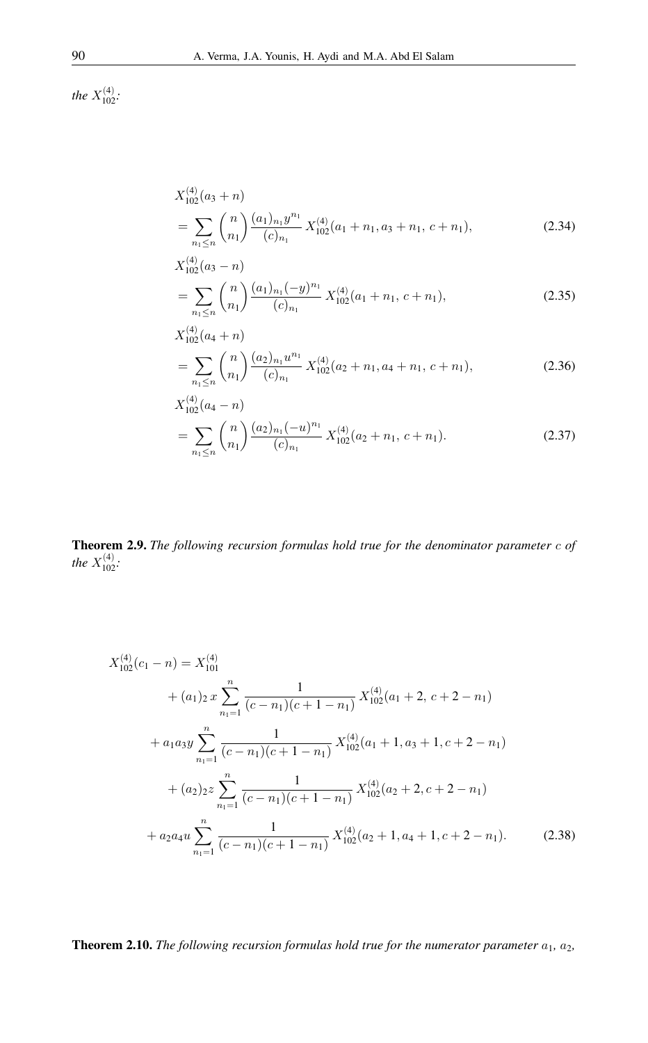*the*  $X_{102}^{(4)}$ *:* 

$$
X_{102}^{(4)}(a_3 + n)
$$
  
= 
$$
\sum_{n_1 \le n} {n \choose n_1} \frac{(a_1)_{n_1} y^{n_1}}{(c)_{n_1}} X_{102}^{(4)}(a_1 + n_1, a_3 + n_1, c + n_1),
$$
 (2.34)

$$
X_{102}^{(4)}(a_3 - n)
$$
  
= 
$$
\sum_{n_1 \le n} {n \choose n_1} \frac{(a_1)_{n_1} (-y)^{n_1}}{(c)_{n_1}} X_{102}^{(4)}(a_1 + n_1, c + n_1),
$$
 (2.35)

$$
X_{102}^{(4)}(a_4+n)
$$
  
= 
$$
\sum_{n_1 \le n} {n \choose n_1} \frac{(a_2)_{n_1} u^{n_1}}{(c)_{n_1}} X_{102}^{(4)}(a_2+n_1, a_4+n_1, c+n_1),
$$
 (2.36)

$$
X_{102}^{(4)}(a_4 - n)
$$
  
= 
$$
\sum_{n_1 \le n} {n \choose n_1} \frac{(a_2)_{n_1}(-u)^{n_1}}{(c)_{n_1}} X_{102}^{(4)}(a_2 + n_1, c + n_1).
$$
 (2.37)

Theorem 2.9. *The following recursion formulas hold true for the denominator parameter* c *of the*  $X_{102}^{(4)}$ *:* 

$$
X_{102}^{(4)}(c_1 - n) = X_{101}^{(4)}
$$
  
+  $(a_1)_2 x \sum_{n_1=1}^n \frac{1}{(c - n_1)(c + 1 - n_1)} X_{102}^{(4)}(a_1 + 2, c + 2 - n_1)$   
+  $a_1 a_3 y \sum_{n_1=1}^n \frac{1}{(c - n_1)(c + 1 - n_1)} X_{102}^{(4)}(a_1 + 1, a_3 + 1, c + 2 - n_1)$   
+  $(a_2)_2 z \sum_{n_1=1}^n \frac{1}{(c - n_1)(c + 1 - n_1)} X_{102}^{(4)}(a_2 + 2, c + 2 - n_1)$   
+  $a_2 a_4 u \sum_{n_1=1}^n \frac{1}{(c - n_1)(c + 1 - n_1)} X_{102}^{(4)}(a_2 + 1, a_4 + 1, c + 2 - n_1).$  (2.38)

# Theorem 2.10. *The following recursion formulas hold true for the numerator parameter*  $a_1$ ,  $a_2$ ,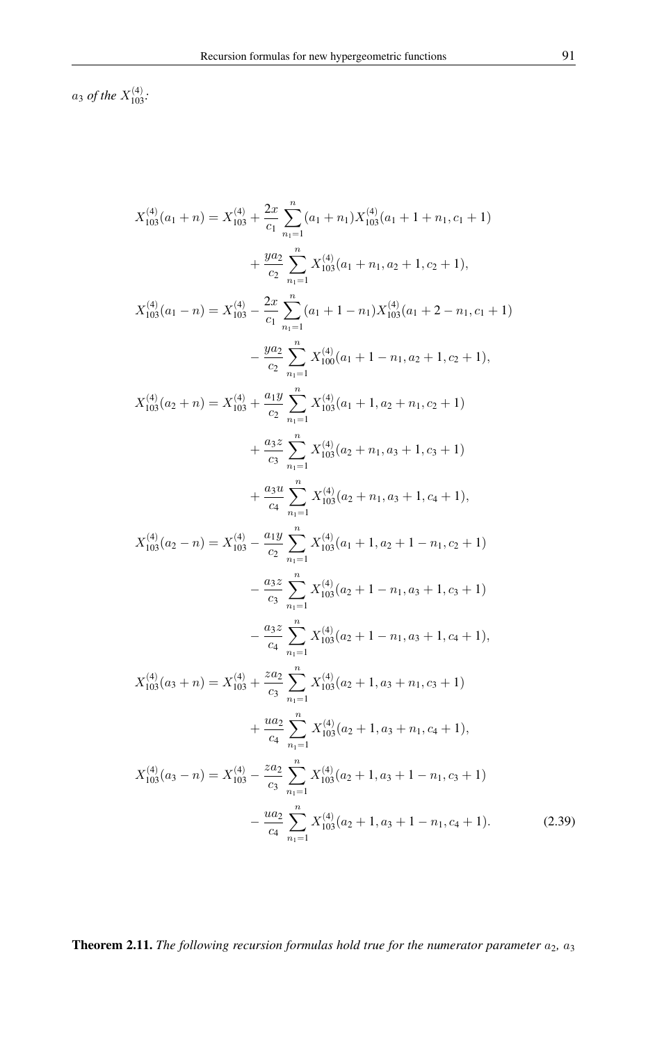$a_3$  of the  $X_{103}^{(4)}$ :

$$
X_{103}^{(4)}(a_1 + n) = X_{103}^{(4)} + \frac{2x}{c_1} \sum_{n_1=1}^{n} (a_1 + n_1) X_{103}^{(4)}(a_1 + 1 + n_1, c_1 + 1)
$$
  
+ 
$$
\frac{ya_2}{c_2} \sum_{n_1=1}^{n} X_{103}^{(4)}(a_1 + n_1, a_2 + 1, c_2 + 1),
$$
  

$$
X_{103}^{(4)}(a_1 - n) = X_{103}^{(4)} - \frac{2x}{c_1} \sum_{n_1=1}^{n} (a_1 + 1 - n_1) X_{103}^{(4)}(a_1 + 2 - n_1, c_1 + 1)
$$
  
- 
$$
\frac{ya_2}{c_2} \sum_{n_1=1}^{n} X_{100}^{(4)}(a_1 + 1 - n_1, a_2 + 1, c_2 + 1),
$$
  

$$
X_{103}^{(4)}(a_2 + n) = X_{103}^{(4)} + \frac{a_1 y}{c_2} \sum_{n_1=1}^{n} X_{103}^{(4)}(a_1 + 1, a_2 + n_1, c_2 + 1)
$$
  
+ 
$$
\frac{a_3 z}{c_3} \sum_{n_1=1}^{n} X_{103}^{(4)}(a_2 + n_1, a_3 + 1, c_3 + 1)
$$
  
+ 
$$
\frac{a_3 u}{c_4} \sum_{n_1=1}^{n} X_{103}^{(4)}(a_2 + n_1, a_3 + 1, c_4 + 1),
$$
  

$$
X_{103}^{(4)}(a_2 - n) = X_{103}^{(4)} - \frac{a_1 y}{c_2} \sum_{n_1=1}^{n} X_{103}^{(4)}(a_1 + 1, a_2 + 1 - n_1, c_2 + 1)
$$
  
- 
$$
\frac{a_3 z}{c_3} \sum_{n_1=1}^{n} X_{103}^{(4)}(a_2 + 1 - n_1, a_3 + 1, c_4 + 1),
$$
  

$$
X_{103}^{(4)}(a_3 + n) = X_{103}^{(4)} +
$$

**Theorem 2.11.** The following recursion formulas hold true for the numerator parameter  $a_2$ ,  $a_3$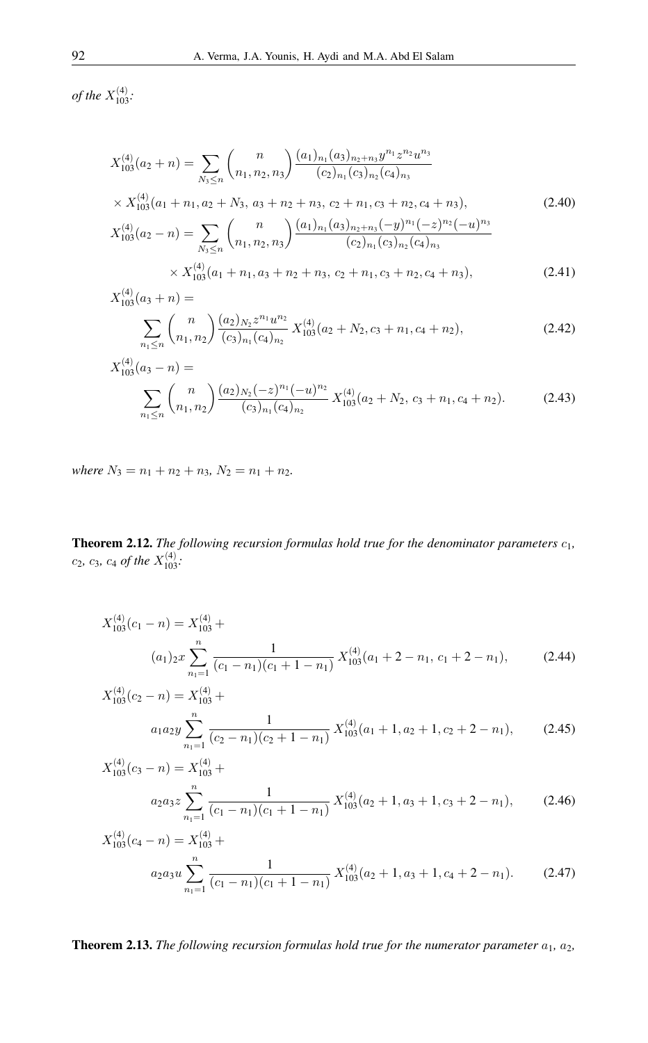*of the*  $X_{103}^{(4)}$ :

$$
X_{103}^{(4)}(a_2 + n) = \sum_{N_3 \le n} {n \choose n_1, n_2, n_3} \frac{(a_1)_{n_1} (a_3)_{n_2 + n_3} y^{n_1} z^{n_2} u^{n_3}}{(c_2)_{n_1} (c_3)_{n_2} (c_4)_{n_3}}
$$
  
\n
$$
\times X_{103}^{(4)}(a_1 + n_1, a_2 + N_3, a_3 + n_2 + n_3, c_2 + n_1, c_3 + n_2, c_4 + n_3),
$$
  
\n
$$
X_{103}^{(4)}(a_2 - n) = \sum_{N_3 \le n} {n \choose n_1, n_2, n_3} \frac{(a_1)_{n_1} (a_3)_{n_2 + n_3} (-y)^{n_1} (-z)^{n_2} (-u)^{n_3}}{(c_2)_{n_1} (c_3)_{n_2} (c_4)_{n_3}}
$$
  
\n
$$
\times X_{103}^{(4)}(a_1 + n_1, a_3 + n_2 + n_3, c_2 + n_1, c_3 + n_2, c_4 + n_3),
$$
  
\n(2.41)

$$
X_{103}^{(4)}(a_3 + n) = \sum_{n_1 \le n} {n \choose n_1, n_2} \frac{(a_2)_{N_2} z^{n_1} u^{n_2}}{(c_3)_{n_1} (c_4)_{n_2}} X_{103}^{(4)}(a_2 + N_2, c_3 + n_1, c_4 + n_2),
$$
 (2.42)

$$
X_{103}^{(4)}(a_3 - n) = \sum_{n_1 \le n} {n \choose n_1, n_2} \frac{(a_2)_{N_2} (-z)^{n_1} (-u)^{n_2}}{(c_3)_{n_1} (c_4)_{n_2}} X_{103}^{(4)}(a_2 + N_2, c_3 + n_1, c_4 + n_2).
$$
 (2.43)

*where*  $N_3 = n_1 + n_2 + n_3$ ,  $N_2 = n_1 + n_2$ .

**Theorem 2.12.** The following recursion formulas hold true for the denominator parameters  $c_1$ ,  $c_2$ *, c<sub>3</sub>, c<sub>4</sub> of the*  $X_{103}^{(4)}$ *:* 

$$
X_{103}^{(4)}(c_1 - n) = X_{103}^{(4)} +
$$
  
\n
$$
(a_1)_2 x \sum_{n_1=1}^n \frac{1}{(c_1 - n_1)(c_1 + 1 - n_1)} X_{103}^{(4)}(a_1 + 2 - n_1, c_1 + 2 - n_1),
$$
\n(2.44)

$$
X_{103}^{(4)}(c_2 - n) = X_{103}^{(4)} +
$$
  
\n
$$
a_1 a_2 y \sum_{n_1=1}^n \frac{1}{(c_2 - n_1)(c_2 + 1 - n_1)} X_{103}^{(4)}(a_1 + 1, a_2 + 1, c_2 + 2 - n_1),
$$
 (2.45)

$$
X_{103}^{(4)}(c_3 - n) = X_{103}^{(4)} +
$$
  
\n
$$
a_2 a_3 z \sum_{n_1=1}^n \frac{1}{(c_1 - n_1)(c_1 + 1 - n_1)} X_{103}^{(4)}(a_2 + 1, a_3 + 1, c_3 + 2 - n_1),
$$
 (2.46)

$$
X_{103}^{(4)}(c_4 - n) = X_{103}^{(4)} +
$$
  
\n
$$
a_2 a_3 u \sum_{n_1=1}^n \frac{1}{(c_1 - n_1)(c_1 + 1 - n_1)} X_{103}^{(4)}(a_2 + 1, a_3 + 1, c_4 + 2 - n_1).
$$
 (2.47)

**Theorem 2.13.** *The following recursion formulas hold true for the numerator parameter*  $a_1$ ,  $a_2$ ,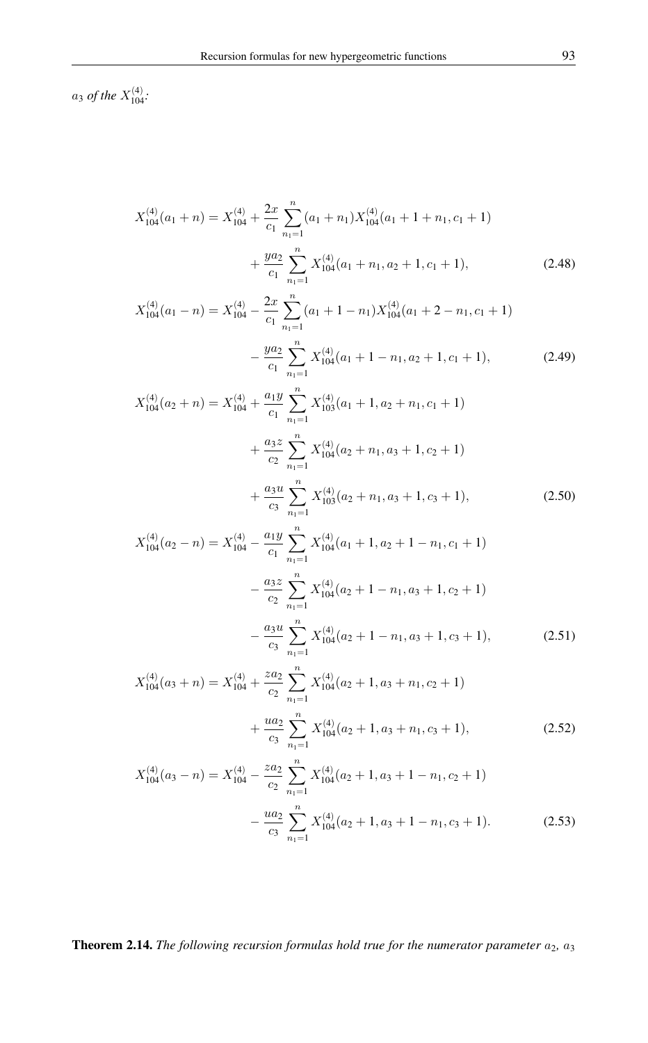$a_3$  *of the*  $X_{104}^{(4)}$ :

$$
X_{104}^{(4)}(a_1+n) = X_{104}^{(4)} + \frac{2x}{c_1} \sum_{n_1=1}^{n} (a_1+n_1) X_{104}^{(4)}(a_1+1+n_1, c_1+1)
$$
  
+ 
$$
\frac{ya_2}{c_1} \sum_{n_1=1}^{n} X_{104}^{(4)}(a_1+n_1, a_2+1, c_1+1),
$$
 (2.48)

$$
X_{104}^{(4)}(a_1 - n) = X_{104}^{(4)} - \frac{2x}{c_1} \sum_{n_1=1}^n (a_1 + 1 - n_1) X_{104}^{(4)}(a_1 + 2 - n_1, c_1 + 1)
$$

$$
- \frac{ya_2}{c_1} \sum_{n_1=1}^n X_{104}^{(4)}(a_1 + 1 - n_1, a_2 + 1, c_1 + 1), \tag{2.49}
$$

$$
X_{104}^{(4)}(a_2+n) = X_{104}^{(4)} + \frac{a_1 y}{c_1} \sum_{n_1=1}^n X_{103}^{(4)}(a_1 + 1, a_2 + n_1, c_1 + 1)
$$
  
+ 
$$
\frac{a_3 z}{c_2} \sum_{n_1=1}^n X_{104}^{(4)}(a_2 + n_1, a_3 + 1, c_2 + 1)
$$
  
+ 
$$
\frac{a_3 u}{c_3} \sum_{n_1=1}^n X_{103}^{(4)}(a_2 + n_1, a_3 + 1, c_3 + 1),
$$
 (2.50)

$$
X_{104}^{(4)}(a_2 - n) = X_{104}^{(4)} - \frac{a_1 y}{c_1} \sum_{n_1=1}^n X_{104}^{(4)}(a_1 + 1, a_2 + 1 - n_1, c_1 + 1)
$$

$$
- \frac{a_3 z}{c_2} \sum_{n_1=1}^n X_{104}^{(4)}(a_2 + 1 - n_1, a_3 + 1, c_2 + 1)
$$

$$
- \frac{a_3 u}{c_3} \sum_{n_1=1}^n X_{104}^{(4)}(a_2 + 1 - n_1, a_3 + 1, c_3 + 1), \tag{2.51}
$$

$$
X_{104}^{(4)}(a_3 + n) = X_{104}^{(4)} + \frac{z a_2}{c_2} \sum_{n_1=1}^{n} X_{104}^{(4)}(a_2 + 1, a_3 + n_1, c_2 + 1) + \frac{u a_2}{c_3} \sum_{n_1=1}^{n} X_{104}^{(4)}(a_2 + 1, a_3 + n_1, c_3 + 1),
$$
\n(2.52)

$$
X_{104}^{(4)}(a_3 - n) = X_{104}^{(4)} - \frac{z a_2}{c_2} \sum_{n_1=1}^n X_{104}^{(4)}(a_2 + 1, a_3 + 1 - n_1, c_2 + 1)
$$

$$
- \frac{u a_2}{c_3} \sum_{n_1=1}^n X_{104}^{(4)}(a_2 + 1, a_3 + 1 - n_1, c_3 + 1).
$$
(2.53)

Theorem 2.14. *The following recursion formulas hold true for the numerator parameter*  $a_2$ ,  $a_3$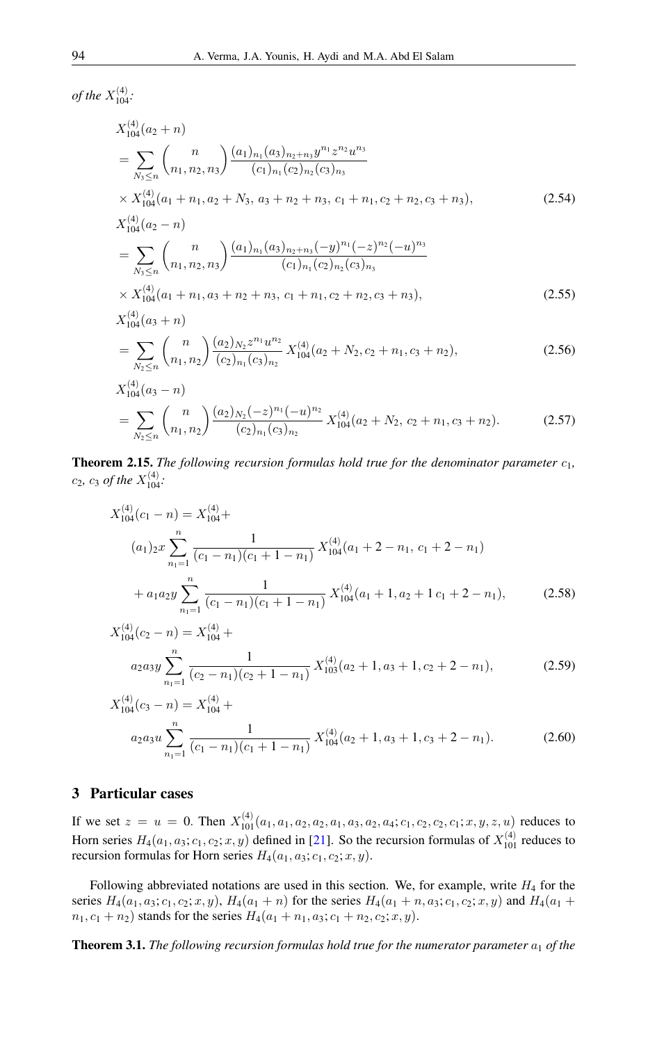*of the*  $X_{104}^{(4)}$ :

$$
X_{104}^{(4)}(a_{2} + n)
$$
\n
$$
= \sum_{N_{3} \leq n} {n \choose n_{1}, n_{2}, n_{3}} \frac{(a_{1})_{n_{1}}(a_{3})_{n_{2}+n_{3}} y^{n_{1}} z^{n_{2}} u^{n_{3}}}{(c_{1})_{n_{1}}(c_{2})_{n_{2}}(c_{3})_{n_{3}}}
$$
\n
$$
\times X_{104}^{(4)}(a_{1} + n_{1}, a_{2} + N_{3}, a_{3} + n_{2} + n_{3}, c_{1} + n_{1}, c_{2} + n_{2}, c_{3} + n_{3}),
$$
\n
$$
X_{104}^{(4)}(a_{2} - n)
$$
\n
$$
= \sum_{N_{3} \leq n} {n \choose n_{1}, n_{2}, n_{3}} \frac{(a_{1})_{n_{1}}(a_{3})_{n_{2}+n_{3}}(-y)^{n_{1}}(-z)^{n_{2}}(-u)^{n_{3}}}{(c_{1})_{n_{1}}(c_{2})_{n_{2}}(c_{3})_{n_{3}}
$$
\n
$$
\times X_{104}^{(4)}(a_{1} + n_{1}, a_{3} + n_{2} + n_{3}, c_{1} + n_{1}, c_{2} + n_{2}, c_{3} + n_{3}),
$$
\n
$$
X_{104}^{(4)}(a_{3} + n)
$$
\n
$$
= \sum_{N_{2} \leq n} {n \choose n_{1}, n_{2}} \frac{(a_{2})_{N_{2}} z^{n_{1}} u^{n_{2}}}{(c_{2})_{n_{1}}(c_{3})_{n_{2}}} X_{104}^{(4)}(a_{2} + N_{2}, c_{2} + n_{1}, c_{3} + n_{2}),
$$
\n
$$
X_{104}^{(4)}(a_{3} - n)
$$
\n(2.56)\n
$$
X_{104}^{(4)}(a_{3} - n)
$$

$$
= \sum_{N_2 \le n} {n \choose n_1, n_2} \frac{(a_2)_{N_2} (-z)^{n_1} (-u)^{n_2}}{(c_2)_{n_1} (c_3)_{n_2}} X_{104}^{(4)}(a_2 + N_2, c_2 + n_1, c_3 + n_2).
$$
 (2.57)

Theorem 2.15. *The following recursion formulas hold true for the denominator parameter*  $c_1$ ,  $c_2$ ,  $c_3$  *of the*  $X_{104}^{(4)}$ :

$$
X_{104}^{(4)}(c_1 - n) = X_{104}^{(4)} +
$$
  
\n
$$
(a_1)_2 x \sum_{n_1=1}^n \frac{1}{(c_1 - n_1)(c_1 + 1 - n_1)} X_{104}^{(4)}(a_1 + 2 - n_1, c_1 + 2 - n_1)
$$
  
\n
$$
+ a_1 a_2 y \sum_{n_1=1}^n \frac{1}{(c_1 - n_1)(c_1 + 1 - n_1)} X_{104}^{(4)}(a_1 + 1, a_2 + 1 c_1 + 2 - n_1),
$$
\n(2.58)

$$
X_{104}^{(4)}(c_2 - n) = X_{104}^{(4)} +
$$
  
\n
$$
a_2 a_3 y \sum_{n_1=1}^n \frac{1}{(c_2 - n_1)(c_2 + 1 - n_1)} X_{103}^{(4)}(a_2 + 1, a_3 + 1, c_2 + 2 - n_1),
$$
\n(2.59)

$$
X_{104}^{(4)}(c_3 - n) = X_{104}^{(4)} +
$$
  
\n
$$
a_2 a_3 u \sum_{n_1=1}^n \frac{1}{(c_1 - n_1)(c_1 + 1 - n_1)} X_{104}^{(4)}(a_2 + 1, a_3 + 1, c_3 + 2 - n_1).
$$
 (2.60)

### 3 Particular cases

If we set  $z = u = 0$ . Then  $X_{101}^{(4)}(a_1, a_1, a_2, a_2, a_1, a_3, a_2, a_4; c_1, c_2, c_2, c_1; x, y, z, u)$  reduces to Horn series  $H_4(a_1, a_3; c_1, c_2; x, y)$  defined in [\[21\]](#page-16-7). So the recursion formulas of  $X_{101}^{(4)}$  reduces to recursion formulas for Horn series  $H_4(a_1, a_3; c_1, c_2; x, y)$ .

Following abbreviated notations are used in this section. We, for example, write  $H_4$  for the series  $H_4(a_1, a_3; c_1, c_2; x, y)$ ,  $H_4(a_1 + n)$  for the series  $H_4(a_1 + n, a_3; c_1, c_2; x, y)$  and  $H_4(a_1 + n, a_2; c_1, c_2; x, y)$  $n_1, c_1 + n_2$ ) stands for the series  $H_4(a_1 + n_1, a_3; c_1 + n_2, c_2; x, y)$ .

**Theorem 3.1.** *The following recursion formulas hold true for the numerator parameter*  $a_1$  *of the*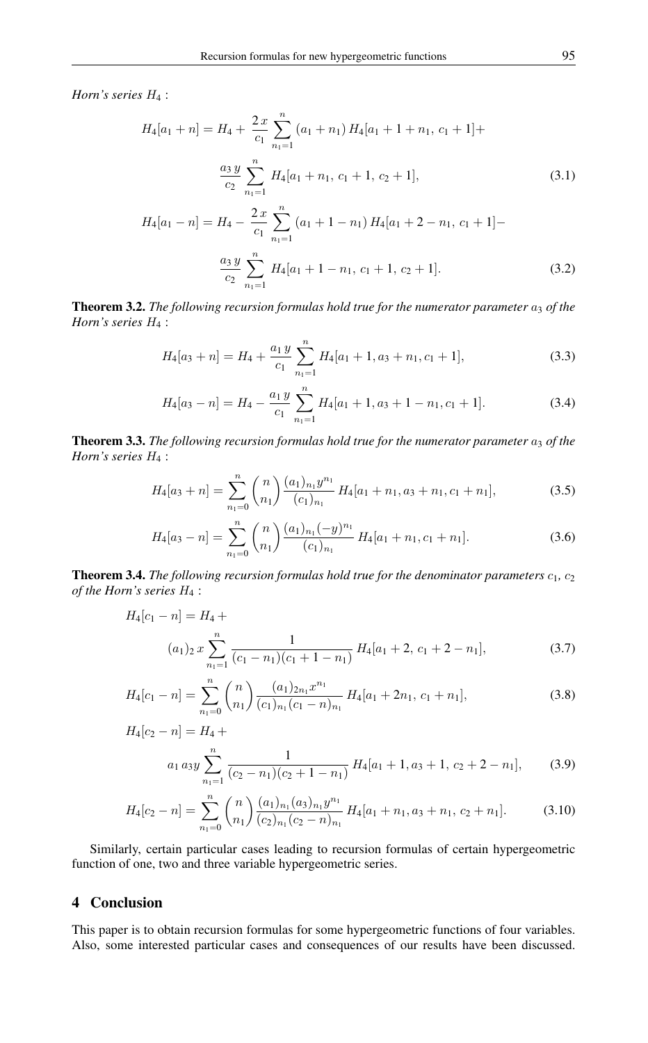*Horn's series* H<sup>4</sup> :

$$
H_4[a_1 + n] = H_4 + \frac{2x}{c_1} \sum_{n_1=1}^n (a_1 + n_1) H_4[a_1 + 1 + n_1, c_1 + 1] +
$$
  

$$
\frac{a_3 y}{c_2} \sum_{n_1=1}^n H_4[a_1 + n_1, c_1 + 1, c_2 + 1],
$$
 (3.1)

$$
H_4[a_1 - n] = H_4 - \frac{2x}{c_1} \sum_{n_1=1}^n (a_1 + 1 - n_1) H_4[a_1 + 2 - n_1, c_1 + 1] -
$$
  

$$
\frac{a_3 y}{c_2} \sum_{n_1=1}^n H_4[a_1 + 1 - n_1, c_1 + 1, c_2 + 1].
$$
 (3.2)

Theorem 3.2. *The following recursion formulas hold true for the numerator parameter*  $a_3$  *of the Horn's series* H<sup>4</sup> :

$$
H_4[a_3+n] = H_4 + \frac{a_1 y}{c_1} \sum_{n_1=1}^n H_4[a_1+1, a_3+n_1, c_1+1],
$$
\n(3.3)

$$
H_4[a_3 - n] = H_4 - \frac{a_1 y}{c_1} \sum_{n_1=1}^{n} H_4[a_1 + 1, a_3 + 1 - n_1, c_1 + 1].
$$
 (3.4)

**Theorem 3.3.** *The following recursion formulas hold true for the numerator parameter*  $a_3$  *of the Horn's series* H<sup>4</sup> :

$$
H_4[a_3+n] = \sum_{n_1=0}^{n} {n \choose n_1} \frac{(a_1)_{n_1} y^{n_1}}{(c_1)_{n_1}} H_4[a_1+n_1, a_3+n_1, c_1+n_1],
$$
\n(3.5)

$$
H_4[a_3 - n] = \sum_{n_1=0}^{n} {n \choose n_1} \frac{(a_1)_{n_1} (-y)^{n_1}}{(c_1)_{n_1}} H_4[a_1 + n_1, c_1 + n_1].
$$
 (3.6)

**Theorem 3.4.** *The following recursion formulas hold true for the denominator parameters*  $c_1$ ,  $c_2$ *of the Horn's series* H<sup>4</sup> :

$$
H_4[c_1 - n] = H_4 +
$$
  
\n
$$
(a_1)_2 x \sum_{n_1=1}^{n} \frac{1}{(c_1 - n_1)(c_1 + 1 - n_1)} H_4[a_1 + 2, c_1 + 2 - n_1],
$$
\n(3.7)

$$
H_4[c_1 - n] = \sum_{n_1=0}^{n} {n \choose n_1} \frac{(a_1)_{2n_1} x^{n_1}}{(c_1)_{n_1} (c_1 - n)_{n_1}} H_4[a_1 + 2n_1, c_1 + n_1],
$$
\n(3.8)

$$
H_4[c_2 - n] = H_4 +
$$
  
\n
$$
a_1 a_3 y \sum_{n_1=1}^{n} \frac{1}{(c_2 - n_1)(c_2 + 1 - n_1)} H_4[a_1 + 1, a_3 + 1, c_2 + 2 - n_1],
$$
\n(3.9)

$$
H_4[c_2 - n] = \sum_{n_1=0}^{n} {n \choose n_1} \frac{(a_1)_{n_1} (a_3)_{n_1} y^{n_1}}{(c_2)_{n_1} (c_2 - n)_{n_1}} H_4[a_1 + n_1, a_3 + n_1, c_2 + n_1].
$$
 (3.10)

Similarly, certain particular cases leading to recursion formulas of certain hypergeometric function of one, two and three variable hypergeometric series.

### 4 Conclusion

This paper is to obtain recursion formulas for some hypergeometric functions of four variables. Also, some interested particular cases and consequences of our results have been discussed.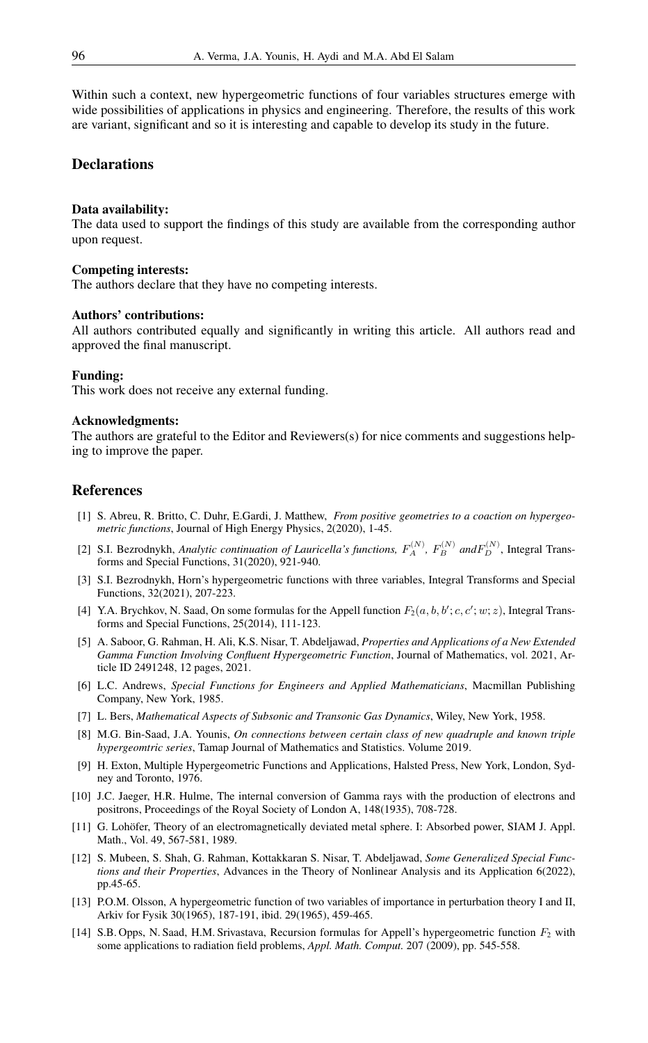Within such a context, new hypergeometric functions of four variables structures emerge with wide possibilities of applications in physics and engineering. Therefore, the results of this work are variant, significant and so it is interesting and capable to develop its study in the future.

### **Declarations**

#### Data availability:

The data used to support the findings of this study are available from the corresponding author upon request.

#### Competing interests:

The authors declare that they have no competing interests.

#### Authors' contributions:

All authors contributed equally and significantly in writing this article. All authors read and approved the final manuscript.

### Funding:

This work does not receive any external funding.

### Acknowledgments:

The authors are grateful to the Editor and Reviewers(s) for nice comments and suggestions helping to improve the paper.

### <span id="page-15-0"></span>References

- <span id="page-15-2"></span>[1] S. Abreu, R. Britto, C. Duhr, E.Gardi, J. Matthew, *From positive geometries to a coaction on hypergeometric functions*, Journal of High Energy Physics, 2(2020), 1-45.
- <span id="page-15-3"></span>[2] S.I. Bezrodnykh, *Analytic continuation of Lauricella's functions,*  $F_A^{(N)}$ ,  $F_B^{(N)}$  and  $F_D^{(N)}$ , Integral Transforms and Special Functions, 31(2020), 921-940.
- <span id="page-15-4"></span>[3] S.I. Bezrodnykh, Horn's hypergeometric functions with three variables, Integral Transforms and Special Functions, 32(2021), 207-223.
- <span id="page-15-5"></span>[4] Y.A. Brychkov, N. Saad, On some formulas for the Appell function  $F_2(a, b, b'; c, c'; w; z)$ , Integral Transforms and Special Functions, 25(2014), 111-123.
- <span id="page-15-6"></span>[5] A. Saboor, G. Rahman, H. Ali, K.S. Nisar, T. Abdeljawad, *Properties and Applications of a New Extended Gamma Function Involving Confluent Hypergeometric Function*, Journal of Mathematics, vol. 2021, Article ID 2491248, 12 pages, 2021.
- <span id="page-15-7"></span>[6] L.C. Andrews, *Special Functions for Engineers and Applied Mathematicians*, Macmillan Publishing Company, New York, 1985.
- <span id="page-15-8"></span>[7] L. Bers, *Mathematical Aspects of Subsonic and Transonic Gas Dynamics*, Wiley, New York, 1958.
- <span id="page-15-12"></span>[8] M.G. Bin-Saad, J.A. Younis, *On connections between certain class of new quadruple and known triple hypergeomtric series*, Tamap Journal of Mathematics and Statistics. Volume 2019.
- <span id="page-15-13"></span>[9] H. Exton, Multiple Hypergeometric Functions and Applications, Halsted Press, New York, London, Sydney and Toronto, 1976.
- <span id="page-15-10"></span>[10] J.C. Jaeger, H.R. Hulme, The internal conversion of Gamma rays with the production of electrons and positrons, Proceedings of the Royal Society of London A, 148(1935), 708-728.
- <span id="page-15-9"></span>[11] G. Lohöfer, Theory of an electromagnetically deviated metal sphere. I: Absorbed power, SIAM J. Appl. Math., Vol. 49, 567-581, 1989.
- <span id="page-15-14"></span>[12] S. Mubeen, S. Shah, G. Rahman, Kottakkaran S. Nisar, T. Abdeljawad, *Some Generalized Special Functions and their Properties*, Advances in the Theory of Nonlinear Analysis and its Application 6(2022), pp.45-65.
- <span id="page-15-11"></span>[13] P.O.M. Olsson, A hypergeometric function of two variables of importance in perturbation theory I and II, Arkiv for Fysik 30(1965), 187-191, ibid. 29(1965), 459-465.
- <span id="page-15-1"></span>[14] S.B. Opps, N. Saad, H.M. Srivastava, Recursion formulas for Appell's hypergeometric function  $F_2$  with some applications to radiation field problems, *Appl. Math. Comput.* 207 (2009), pp. 545-558.